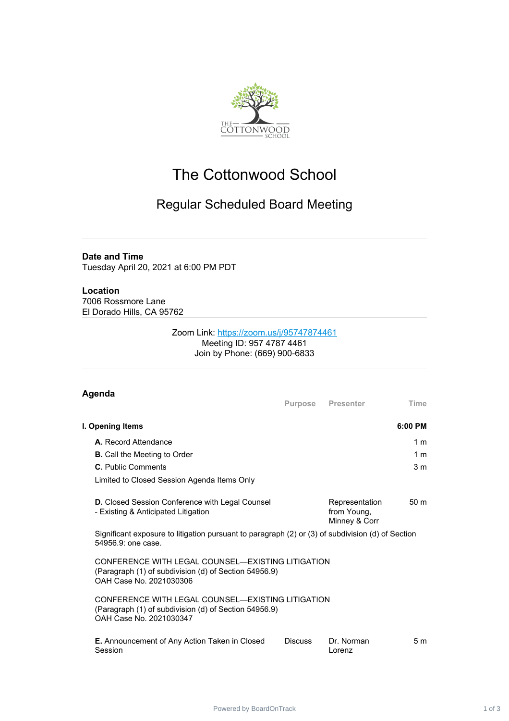

# The Cottonwood School

# Regular Scheduled Board Meeting

## **Date and Time**

Tuesday April 20, 2021 at 6:00 PM PDT

#### **Location** 7006 Rossmore Lane El Dorado Hills, CA 95762

### Zoom Link: <https://zoom.us/j/95747874461> Meeting ID: 957 4787 4461 Join by Phone: (669) 900-6833

| Agenda                                                                                                                                |                |                                                |                 |
|---------------------------------------------------------------------------------------------------------------------------------------|----------------|------------------------------------------------|-----------------|
|                                                                                                                                       | Purpose        | <b>Presenter</b>                               | <b>Time</b>     |
| I. Opening Items                                                                                                                      |                |                                                | $6:00$ PM       |
| A. Record Attendance                                                                                                                  |                |                                                | 1 m             |
| <b>B.</b> Call the Meeting to Order                                                                                                   |                |                                                | 1 <sub>m</sub>  |
| C. Public Comments                                                                                                                    |                |                                                | 3 <sub>m</sub>  |
| Limited to Closed Session Agenda Items Only                                                                                           |                |                                                |                 |
| <b>D.</b> Closed Session Conference with Legal Counsel<br>- Existing & Anticipated Litigation                                         |                | Representation<br>from Young,<br>Minney & Corr | 50 <sub>m</sub> |
| Significant exposure to litigation pursuant to paragraph (2) or (3) of subdivision (d) of Section<br>54956.9: one case.               |                |                                                |                 |
| CONFERENCE WITH LEGAL COUNSEL—EXISTING LITIGATION<br>(Paragraph (1) of subdivision (d) of Section 54956.9)<br>OAH Case No. 2021030306 |                |                                                |                 |
| CONFERENCE WITH LEGAL COUNSEL—EXISTING LITIGATION<br>(Paragraph (1) of subdivision (d) of Section 54956.9)<br>OAH Case No. 2021030347 |                |                                                |                 |
| E. Announcement of Any Action Taken in Closed<br>Session                                                                              | <b>Discuss</b> | Dr. Norman<br>Lorenz                           | 5 <sub>m</sub>  |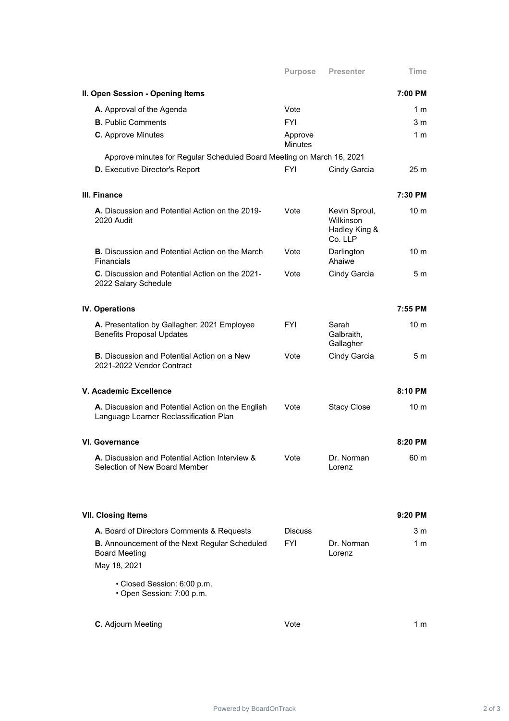|                                                                                              | <b>Purpose</b>            | <b>Presenter</b>                                       | Time            |
|----------------------------------------------------------------------------------------------|---------------------------|--------------------------------------------------------|-----------------|
| II. Open Session - Opening Items                                                             |                           |                                                        | 7:00 PM         |
| A. Approval of the Agenda                                                                    | Vote                      |                                                        | 1 m             |
| <b>B.</b> Public Comments                                                                    | <b>FYI</b>                |                                                        | 3 <sub>m</sub>  |
| <b>C.</b> Approve Minutes                                                                    | Approve<br><b>Minutes</b> |                                                        | 1 m             |
| Approve minutes for Regular Scheduled Board Meeting on March 16, 2021                        |                           |                                                        |                 |
| <b>D.</b> Executive Director's Report                                                        | <b>FYI</b>                | Cindy Garcia                                           | 25 <sub>m</sub> |
| III. Finance                                                                                 |                           |                                                        | 7:30 PM         |
| A. Discussion and Potential Action on the 2019-<br>2020 Audit                                | Vote                      | Kevin Sproul,<br>Wilkinson<br>Hadley King &<br>Co. LLP | 10 m            |
| <b>B.</b> Discussion and Potential Action on the March<br>Financials                         | Vote                      | Darlington<br>Ahaiwe                                   | 10 <sub>m</sub> |
| <b>C.</b> Discussion and Potential Action on the 2021-<br>2022 Salary Schedule               | Vote                      | Cindy Garcia                                           | 5 <sub>m</sub>  |
| <b>IV. Operations</b>                                                                        |                           |                                                        | 7:55 PM         |
| A. Presentation by Gallagher: 2021 Employee<br><b>Benefits Proposal Updates</b>              | <b>FYI</b>                | Sarah<br>Galbraith,<br>Gallagher                       | 10 <sub>m</sub> |
| <b>B.</b> Discussion and Potential Action on a New<br>2021-2022 Vendor Contract              | Vote                      | Cindy Garcia                                           | 5 m             |
| V. Academic Excellence                                                                       |                           |                                                        | 8:10 PM         |
| A. Discussion and Potential Action on the English<br>Language Learner Reclassification Plan  | Vote                      | <b>Stacy Close</b>                                     | 10 <sub>m</sub> |
| <b>VI. Governance</b>                                                                        |                           |                                                        | 8:20 PM         |
| A. Discussion and Potential Action Interview &<br>Selection of New Board Member              | Vote                      | Dr. Norman<br>Lorenz                                   | 60 m            |
| <b>VII. Closing Items</b>                                                                    |                           |                                                        | 9:20 PM         |
| A. Board of Directors Comments & Requests                                                    | <b>Discuss</b>            |                                                        | 3 m             |
| <b>B.</b> Announcement of the Next Regular Scheduled<br><b>Board Meeting</b><br>May 18, 2021 | <b>FYI</b>                | Dr. Norman<br>Lorenz                                   | 1 m             |
| • Closed Session: 6:00 p.m.<br>• Open Session: 7:00 p.m.                                     |                           |                                                        |                 |
| C. Adjourn Meeting                                                                           | Vote                      |                                                        | 1 m             |